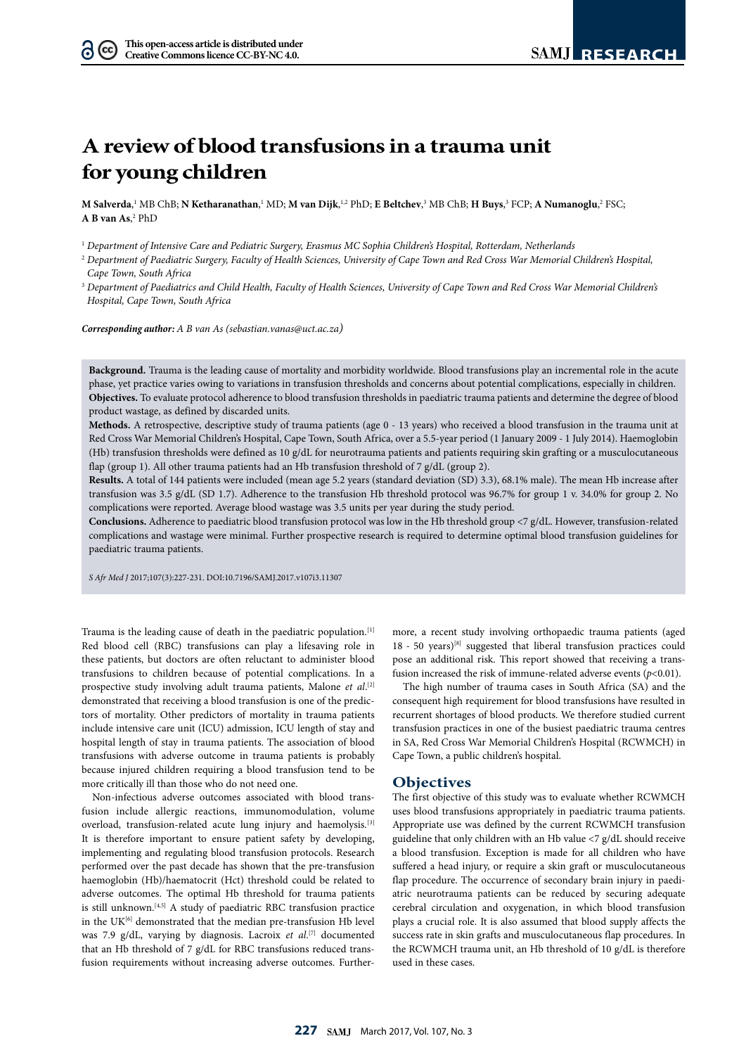# **A review of blood transfusions in a trauma unit for young children**

**M Salverda**, 1 MB ChB; **N Ketharanathan**, 1 MD; **M van Dijk**, 1,2 PhD; **E Beltchev**, 3 MB ChB; **H Buys**, 3 FCP; **A Numanoglu**, 2 FSC; **A B van As**,<sup>2</sup> PhD

<sup>1</sup> *Department of Intensive Care and Pediatric Surgery, Erasmus MC Sophia Children's Hospital, Rotterdam, Netherlands*

<sup>2</sup> *Department of Paediatric Surgery, Faculty of Health Sciences, University of Cape Town and Red Cross War Memorial Children's Hospital, Cape Town, South Africa*

<sup>3</sup> *Department of Paediatrics and Child Health, Faculty of Health Sciences, University of Cape Town and Red Cross War Memorial Children's Hospital, Cape Town, South Africa*

*Corresponding author: A B van As (sebastian.vanas@uct.ac.za)*

**Background.** Trauma is the leading cause of mortality and morbidity worldwide. Blood transfusions play an incremental role in the acute phase, yet practice varies owing to variations in transfusion thresholds and concerns about potential complications, especially in children. **Objectives.** To evaluate protocol adherence to blood transfusion thresholds in paediatric trauma patients and determine the degree of blood product wastage, as defined by discarded units.

**Methods.** A retrospective, descriptive study of trauma patients (age 0 - 13 years) who received a blood transfusion in the trauma unit at Red Cross War Memorial Children's Hospital, Cape Town, South Africa, over a 5.5-year period (1 January 2009 - 1 July 2014). Haemoglobin (Hb) transfusion thresholds were defined as 10 g/dL for neurotrauma patients and patients requiring skin grafting or a musculocutaneous flap (group 1). All other trauma patients had an Hb transfusion threshold of 7 g/dL (group 2).

**Results.** A total of 144 patients were included (mean age 5.2 years (standard deviation (SD) 3.3), 68.1% male). The mean Hb increase after transfusion was 3.5 g/dL (SD 1.7). Adherence to the transfusion Hb threshold protocol was 96.7% for group 1 v. 34.0% for group 2. No complications were reported. Average blood wastage was 3.5 units per year during the study period.

**Conclusions.** Adherence to paediatric blood transfusion protocol was low in the Hb threshold group <7 g/dL. However, transfusion-related complications and wastage were minimal. Further prospective research is required to determine optimal blood transfusion guidelines for paediatric trauma patients.

*S Afr Med J* 2017;107(3):227-231. DOI:10.7196/SAMJ.2017.v107i3.11307

Trauma is the leading cause of death in the paediatric population.[1] Red blood cell (RBC) transfusions can play a lifesaving role in these patients, but doctors are often reluctant to administer blood transfusions to children because of potential complications. In a prospective study involving adult trauma patients, Malone *et al*. [2] demonstrated that receiving a blood transfusion is one of the predictors of mortality. Other predictors of mortality in trauma patients include intensive care unit (ICU) admission, ICU length of stay and hospital length of stay in trauma patients. The association of blood transfusions with adverse outcome in trauma patients is probably because injured children requiring a blood transfusion tend to be more critically ill than those who do not need one.

Non-infectious adverse outcomes associated with blood transfusion include allergic reactions, immunomodulation, volume overload, transfusion-related acute lung injury and haemolysis.[3] It is therefore important to ensure patient safety by developing, implementing and regulating blood transfusion protocols. Research performed over the past decade has shown that the pre-transfusion haemoglobin (Hb)/haematocrit (Hct) threshold could be related to adverse outcomes. The optimal Hb threshold for trauma patients is still unknown.<sup>[4,5]</sup> A study of paediatric RBC transfusion practice in the UK<sup>[6]</sup> demonstrated that the median pre-transfusion Hb level was 7.9 g/dL, varying by diagnosis. Lacroix *et al*.<sup>[7]</sup> documented that an Hb threshold of 7 g/dL for RBC transfusions reduced transfusion requirements without increasing adverse outcomes. Further-

more, a recent study involving orthopaedic trauma patients (aged 18 - 50 years)<sup>[8]</sup> suggested that liberal transfusion practices could pose an additional risk. This report showed that receiving a transfusion increased the risk of immune-related adverse events (*p*<0.01).

The high number of trauma cases in South Africa (SA) and the consequent high requirement for blood transfusions have resulted in recurrent shortages of blood products. We therefore studied current transfusion practices in one of the busiest paediatric trauma centres in SA, Red Cross War Memorial Children's Hospital (RCWMCH) in Cape Town, a public children's hospital.

## **Objectives**

The first objective of this study was to evaluate whether RCWMCH uses blood transfusions appropriately in paediatric trauma patients. Appropriate use was defined by the current RCWMCH transfusion guideline that only children with an Hb value <7 g/dL should receive a blood transfusion. Exception is made for all children who have suffered a head injury, or require a skin graft or musculocutaneous flap procedure. The occurrence of secondary brain injury in paediatric neurotrauma patients can be reduced by securing adequate cerebral circulation and oxygenation, in which blood transfusion plays a crucial role. It is also assumed that blood supply affects the success rate in skin grafts and musculocutaneous flap procedures. In the RCWMCH trauma unit, an Hb threshold of 10 g/dL is therefore used in these cases.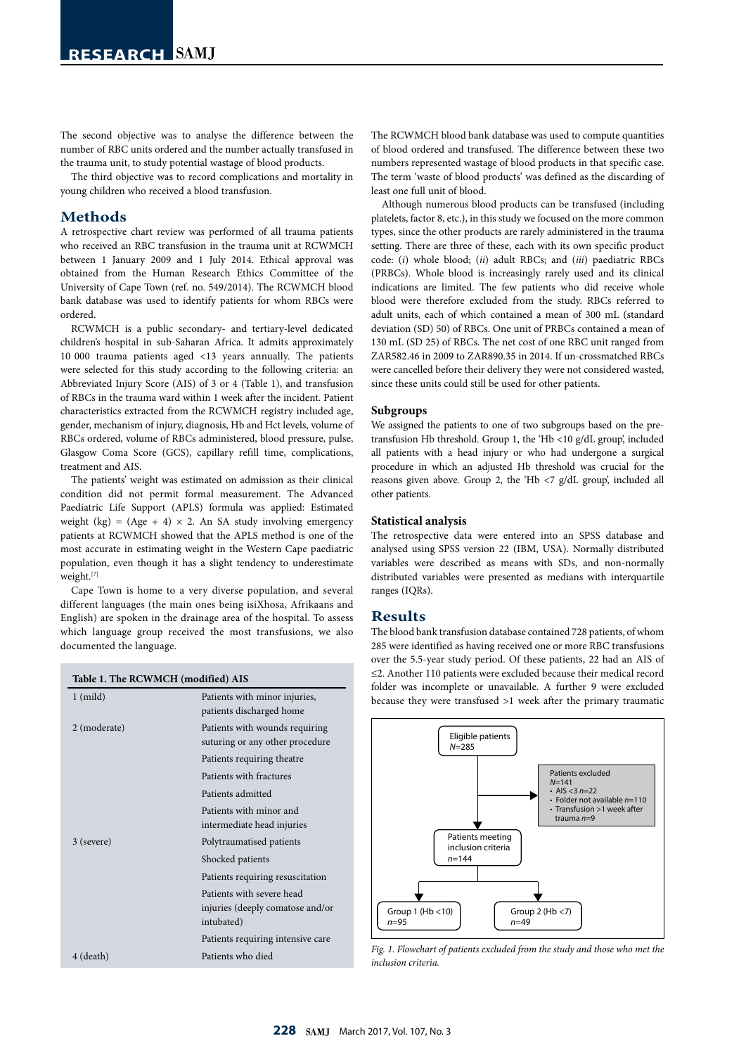The second objective was to analyse the difference between the number of RBC units ordered and the number actually transfused in the trauma unit, to study potential wastage of blood products.

The third objective was to record complications and mortality in young children who received a blood transfusion.

# **Methods**

A retrospective chart review was performed of all trauma patients who received an RBC transfusion in the trauma unit at RCWMCH between 1 January 2009 and 1 July 2014. Ethical approval was obtained from the Human Research Ethics Committee of the University of Cape Town (ref. no. 549/2014). The RCWMCH blood bank database was used to identify patients for whom RBCs were ordered.

RCWMCH is a public secondary- and tertiary-level dedicated children's hospital in sub-Saharan Africa. It admits approximately 10 000 trauma patients aged <13 years annually. The patients were selected for this study according to the following criteria: an Abbreviated Injury Score (AIS) of 3 or 4 (Table 1), and transfusion of RBCs in the trauma ward within 1 week after the incident. Patient characteristics extracted from the RCWMCH registry included age, gender, mechanism of injury, diagnosis, Hb and Hct levels, volume of RBCs ordered, volume of RBCs administered, blood pressure, pulse, Glasgow Coma Score (GCS), capillary refill time, complications, treatment and AIS.

The patients' weight was estimated on admission as their clinical condition did not permit formal measurement. The Advanced Paediatric Life Support (APLS) formula was applied: Estimated weight (kg) = (Age + 4)  $\times$  2. An SA study involving emergency patients at RCWMCH showed that the APLS method is one of the most accurate in estimating weight in the Western Cape paediatric population, even though it has a slight tendency to underestimate weight.[7]

Cape Town is home to a very diverse population, and several different languages (the main ones being isiXhosa, Afrikaans and English) are spoken in the drainage area of the hospital. To assess which language group received the most transfusions, we also documented the language.

| Table 1. The RCWMCH (modified) AIS |                                                                             |
|------------------------------------|-----------------------------------------------------------------------------|
| $1 \pmod{3}$                       | Patients with minor injuries,<br>patients discharged home                   |
| 2 (moderate)                       | Patients with wounds requiring<br>suturing or any other procedure           |
|                                    | Patients requiring theatre                                                  |
|                                    | Patients with fractures                                                     |
|                                    | Patients admitted                                                           |
|                                    | Patients with minor and<br>intermediate head injuries                       |
| 3 (severe)                         | Polytraumatised patients                                                    |
|                                    | Shocked patients                                                            |
|                                    | Patients requiring resuscitation                                            |
|                                    | Patients with severe head<br>injuries (deeply comatose and/or<br>intubated) |
|                                    | Patients requiring intensive care                                           |
| 4 (death)                          | Patients who died                                                           |

The RCWMCH blood bank database was used to compute quantities of blood ordered and transfused. The difference between these two numbers represented wastage of blood products in that specific case. The term 'waste of blood products' was defined as the discarding of least one full unit of blood.

Although numerous blood products can be transfused (including platelets, factor 8, etc.), in this study we focused on the more common types, since the other products are rarely administered in the trauma setting. There are three of these, each with its own specific product code: (*i*) whole blood; (*ii*) adult RBCs; and (*iii*) paediatric RBCs (PRBCs). Whole blood is increasingly rarely used and its clinical indications are limited. The few patients who did receive whole blood were therefore excluded from the study. RBCs referred to adult units, each of which contained a mean of 300 mL (standard deviation (SD) 50) of RBCs. One unit of PRBCs contained a mean of 130 mL (SD 25) of RBCs. The net cost of one RBC unit ranged from ZAR582.46 in 2009 to ZAR890.35 in 2014. If un-crossmatched RBCs were cancelled before their delivery they were not considered wasted, since these units could still be used for other patients.

## **Subgroups**

We assigned the patients to one of two subgroups based on the pretransfusion Hb threshold. Group 1, the 'Hb <10 g/dL group', included all patients with a head injury or who had undergone a surgical procedure in which an adjusted Hb threshold was crucial for the reasons given above. Group 2, the 'Hb <7 g/dL group', included all other patients.

#### **Statistical analysis**

The retrospective data were entered into an SPSS database and analysed using SPSS version 22 (IBM, USA). Normally distributed variables were described as means with SDs, and non-normally distributed variables were presented as medians with interquartile ranges (IQRs).

## **Results**

The blood bank transfusion database contained 728 patients, of whom 285 were identified as having received one or more RBC transfusions over the 5.5-year study period. Of these patients, 22 had an AIS of ≤2. Another 110 patients were excluded because their medical record folder was incomplete or unavailable. A further 9 were excluded because they were transfused >1 week after the primary traumatic .



*Fig. 1. Flowchart of patients excluded from the study and those who met the inclusion criteria.*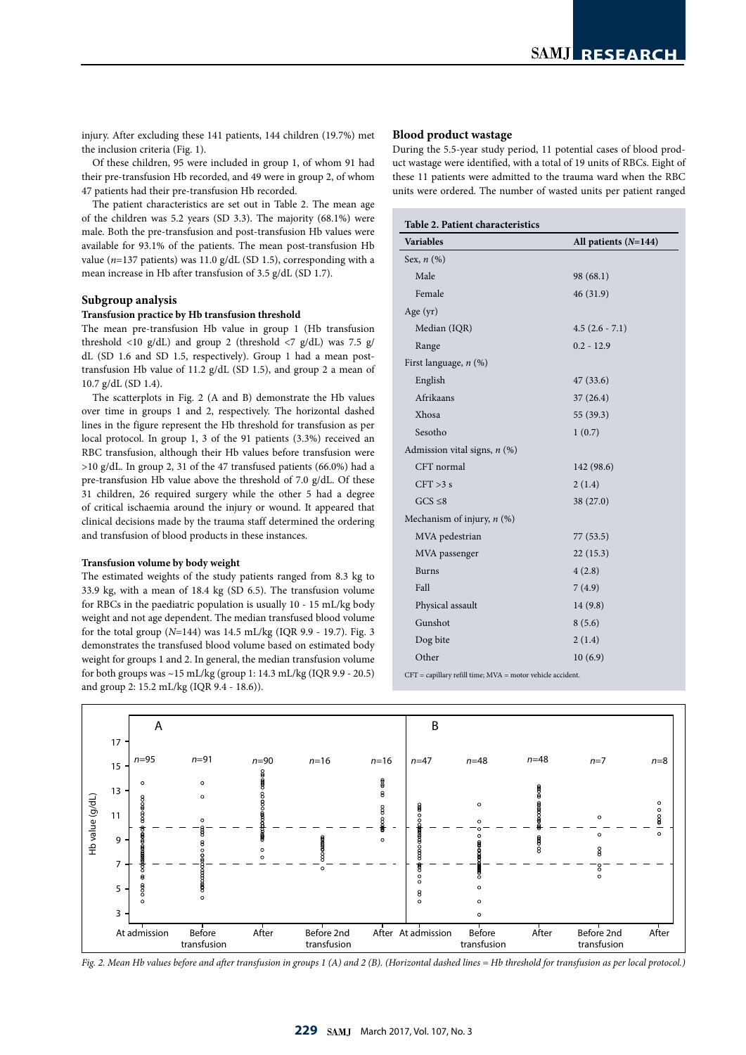injury. After excluding these 141 patients, 144 children (19.7%) met the inclusion criteria (Fig. 1).

Of these children, 95 were included in group 1, of whom 91 had their pre-transfusion Hb recorded, and 49 were in group 2, of whom 47 patients had their pre-transfusion Hb recorded.

The patient characteristics are set out in Table 2. The mean age of the children was 5.2 years (SD 3.3). The majority (68.1%) were male. Both the pre-transfusion and post-transfusion Hb values were available for 93.1% of the patients. The mean post-transfusion Hb value ( $n=137$  patients) was 11.0 g/dL (SD 1.5), corresponding with a mean increase in Hb after transfusion of 3.5 g/dL (SD 1.7).

#### **Subgroup analysis**

#### **Transfusion practice by Hb transfusion threshold**

The mean pre-transfusion Hb value in group 1 (Hb transfusion threshold <10 g/dL) and group 2 (threshold <7 g/dL) was 7.5 g/ dL (SD 1.6 and SD 1.5, respectively). Group 1 had a mean posttransfusion Hb value of 11.2 g/dL (SD 1.5), and group 2 a mean of 10.7 g/dL (SD 1.4).

The scatterplots in Fig. 2 (A and B) demonstrate the Hb values over time in groups 1 and 2, respectively. The horizontal dashed lines in the figure represent the Hb threshold for transfusion as per local protocol. In group 1, 3 of the 91 patients (3.3%) received an RBC transfusion, although their Hb values before transfusion were >10 g/dL. In group 2, 31 of the 47 transfused patients (66.0%) had a pre-transfusion Hb value above the threshold of 7.0 g/dL. Of these 31 children, 26 required surgery while the other 5 had a degree of critical ischaemia around the injury or wound. It appeared that clinical decisions made by the trauma staff determined the ordering and transfusion of blood products in these instances.

#### **Transfusion volume by body weight**

The estimated weights of the study patients ranged from 8.3 kg to 33.9 kg, with a mean of 18.4 kg (SD 6.5). The transfusion volume for RBCs in the paediatric population is usually 10 - 15 mL/kg body weight and not age dependent. The median transfused blood volume for the total group (*N*=144) was 14.5 mL/kg (IQR 9.9 - 19.7). Fig. 3 demonstrates the transfused blood volume based on estimated body weight for groups 1 and 2. In general, the median transfusion volume for both groups was ~15 mL/kg (group 1: 14.3 mL/kg (IQR 9.9 - 20.5) and group 2: 15.2 mL/kg (IQR 9.4 - 18.6)).

## **Blood product wastage**

During the 5.5-year study period, 11 potential cases of blood product wastage were identified, with a total of 19 units of RBCs. Eight of these 11 patients were admitted to the trauma ward when the RBC units were ordered. The number of wasted units per patient ranged

| <b>Variables</b>               | All patients (N=144) |
|--------------------------------|----------------------|
| Sex, $n$ $(\%)$                |                      |
| Male                           | 98 (68.1)            |
| Female                         | 46 (31.9)            |
| Age $(yr)$                     |                      |
| Median (IQR)                   | $4.5(2.6 - 7.1)$     |
| Range                          | $0.2 - 12.9$         |
| First language, n (%)          |                      |
| English                        | 47(33.6)             |
| Afrikaans                      | 37(26.4)             |
| Xhosa                          | 55 (39.3)            |
| Sesotho                        | 1(0.7)               |
| Admission vital signs, $n$ (%) |                      |
| CFT normal                     | 142 (98.6)           |
| $CFT > 3$ s                    | 2(1.4)               |
| $GCS \leq 8$                   | 38 (27.0)            |
| Mechanism of injury, $n$ (%)   |                      |
| MVA pedestrian                 | 77(53.5)             |
| MVA passenger                  | 22(15.3)             |
| <b>Burns</b>                   | 4(2.8)               |
| Fall                           | 7(4.9)               |
| Physical assault               | 14 (9.8)             |
| Gunshot                        | 8(5.6)               |
| Dog bite                       | 2(1.4)               |
| Other                          | 10(6.9)              |

CFT = capillary refill time; MVA = motor vehicle accident.



*Fig. 2. Mean Hb values before and after transfusion in groups 1 (A) and 2 (B). (Horizontal dashed lines = Hb threshold for transfusion as per local protocol.)*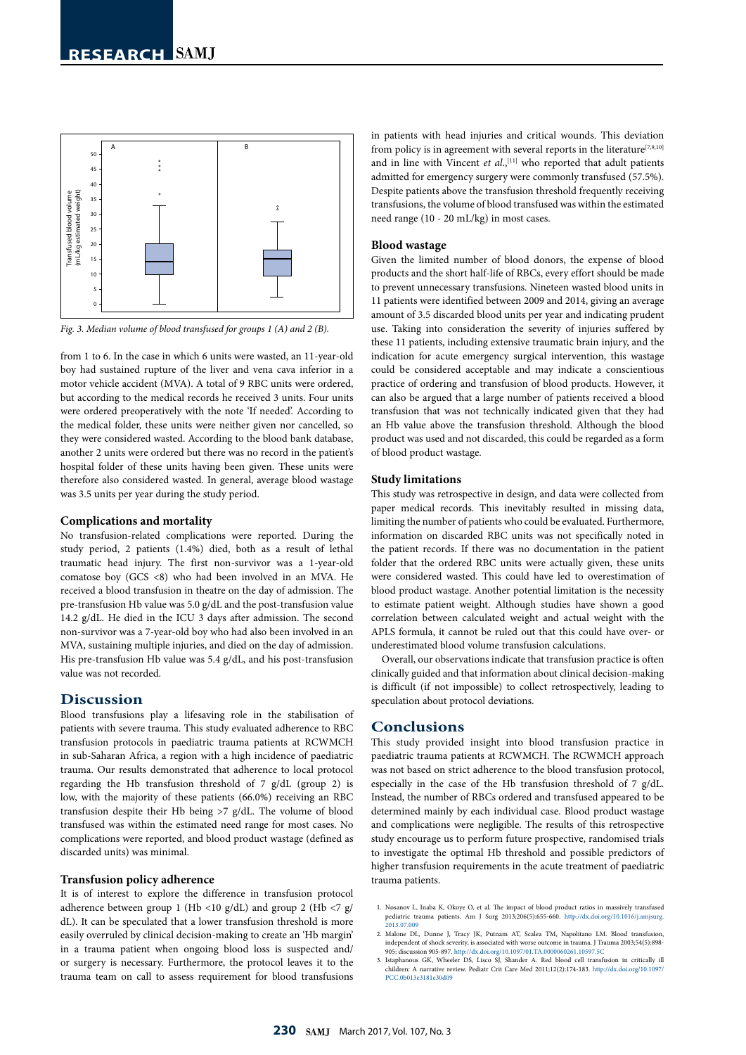

*Fig. 3. Median volume of blood transfused for groups 1 (A) and 2 (B).*

from 1 to 6. In the case in which 6 units were wasted, an 11-year-old boy had sustained rupture of the liver and vena cava inferior in a motor vehicle accident (MVA). A total of 9 RBC units were ordered, but according to the medical records he received 3 units. Four units were ordered preoperatively with the note 'If needed'. According to the medical folder, these units were neither given nor cancelled, so they were considered wasted. According to the blood bank database, another 2 units were ordered but there was no record in the patient's hospital folder of these units having been given. These units were therefore also considered wasted. In general, average blood wastage was 3.5 units per year during the study period.

#### **Complications and mortality**

No transfusion-related complications were reported. During the 2 study period, 2 patients (1.4%) died, both as a result of lethal traumatic head injury. The first non-survivor was a 1-year-old comatose boy (GCS <8) who had been involved in an MVA. He received a blood transfusion in theatre on the day of admission. The pre-transfusion Hb value was 5.0 g/dL and the post-transfusion value 14.2 g/dL. He died in the ICU 3 days after admission. The second non-survivor was a 7-year-old boy who had also been involved in an MVA, sustaining multiple injuries, and died on the day of admission. His pre-transfusion Hb value was 5.4 g/dL, and his post-transfusion value was not recorded.

## **Discussion**

Blood transfusions play a lifesaving role in the stabilisation of patients with severe trauma. This study evaluated adherence to RBC transfusion protocols in paediatric trauma patients at RCWMCH in sub-Saharan Africa, a region with a high incidence of paediatric trauma. Our results demonstrated that adherence to local protocol regarding the Hb transfusion threshold of 7 g/dL (group 2) is low, with the majority of these patients (66.0%) receiving an RBC transfusion despite their Hb being >7 g/dL. The volume of blood transfused was within the estimated need range for most cases. No complications were reported, and blood product wastage (defined as discarded units) was minimal.

#### **Transfusion policy adherence**

It is of interest to explore the difference in transfusion protocol adherence between group 1 (Hb <10 g/dL) and group 2 (Hb <7 g/ dL). It can be speculated that a lower transfusion threshold is more easily overruled by clinical decision-making to create an 'Hb margin' in a trauma patient when ongoing blood loss is suspected and/ or surgery is necessary. Furthermore, the protocol leaves it to the trauma team on call to assess requirement for blood transfusions

in patients with head injuries and critical wounds. This deviation from policy is in agreement with several reports in the literature<sup>[7,9,10]</sup> and in line with Vincent *et al.*,<sup>[11]</sup> who reported that adult patients admitted for emergency surgery were commonly transfused (57.5%). Despite patients above the transfusion threshold frequently receiving transfusions, the volume of blood transfused was within the estimated need range (10 - 20 mL/kg) in most cases.

#### **Blood wastage**

Given the limited number of blood donors, the expense of blood products and the short half-life of RBCs, every effort should be made to prevent unnecessary transfusions. Nineteen wasted blood units in 11 patients were identified between 2009 and 2014, giving an average amount of 3.5 discarded blood units per year and indicating prudent use. Taking into consideration the severity of injuries suffered by these 11 patients, including extensive traumatic brain injury, and the indication for acute emergency surgical intervention, this wastage could be considered acceptable and may indicate a conscientious practice of ordering and transfusion of blood products. However, it can also be argued that a large number of patients received a blood transfusion that was not technically indicated given that they had an Hb value above the transfusion threshold. Although the blood product was used and not discarded, this could be regarded as a form of blood product wastage.

#### **Study limitations**

This study was retrospective in design, and data were collected from paper medical records. This inevitably resulted in missing data, limiting the number of patients who could be evaluated. Furthermore, information on discarded RBC units was not specifically noted in the patient records. If there was no documentation in the patient folder that the ordered RBC units were actually given, these units were considered wasted. This could have led to overestimation of blood product wastage. Another potential limitation is the necessity to estimate patient weight. Although studies have shown a good correlation between calculated weight and actual weight with the APLS formula, it cannot be ruled out that this could have over- or underestimated blood volume transfusion calculations.

Overall, our observations indicate that transfusion practice is often clinically guided and that information about clinical decision-making is difficult (if not impossible) to collect retrospectively, leading to speculation about protocol deviations.

## **Conclusions**

This study provided insight into blood transfusion practice in paediatric trauma patients at RCWMCH. The RCWMCH approach was not based on strict adherence to the blood transfusion protocol, especially in the case of the Hb transfusion threshold of 7 g/dL. Instead, the number of RBCs ordered and transfused appeared to be determined mainly by each individual case. Blood product wastage and complications were negligible. The results of this retrospective study encourage us to perform future prospective, randomised trials to investigate the optimal Hb threshold and possible predictors of higher transfusion requirements in the acute treatment of paediatric trauma patients.

- 1. Nosanov L, Inaba K, Okoye O, et al. The impact of blood product ratios in massively transfused pediatric trauma patients. Am J Surg 2013;206(5):655-660. [http://dx.doi.org/10.1016/j.amjsurg.](http://dx.doi.org/10.1016/j.amjsurg. 2013.07.009 ) [2013.07.009](http://dx.doi.org/10.1016/j.amjsurg. 2013.07.009 )
- 2. Malone DL, Dunne J, Tracy JK, Putnam AT, Scalea TM, Napolitano LM. Blood transfusion, independent of shock severity, is associated with worse outcome in trauma. J Trauma 2003;54(5):898-905; discussion 905-897. http://dx.doi.org/10.1097/01.TA.0000060261.10597.5C
- 3. Istaphanous GK, Wheeler DS, Lisco SJ, Shander A. Red blood cell transfusion in critically ill children: A narrative review. Pediatr Crit Care Med 2011;12(2):174-183. [http://dx.doi.org/10.1097/](http://dx.doi.org/10.1097/PCC.0b013e3181e30d09 ) [PCC.0b013e3181e30d09](http://dx.doi.org/10.1097/PCC.0b013e3181e30d09 )